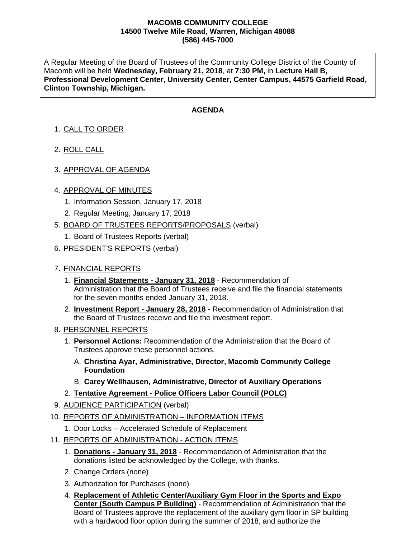## **MACOMB COMMUNITY COLLEGE 14500 Twelve Mile Road, Warren, Michigan 48088 (586) 445-7000**

A Regular Meeting of the Board of Trustees of the Community College District of the County of Macomb will be held **Wednesday, February 21, 2018**, at **7:30 PM,** in **Lecture Hall B, Professional Development Center, University Center, Center Campus, 44575 Garfield Road, Clinton Township, Michigan.**

## **AGENDA**

- 1. CALL TO ORDER
- 2. ROLL CALL
- 3. APPROVAL OF AGENDA

## 4. APPROVAL OF MINUTES

- 1. Information Session, January 17, 2018
- 2. Regular Meeting, January 17, 2018
- 5. BOARD OF TRUSTEES REPORTS/PROPOSALS (verbal)
	- 1. Board of Trustees Reports (verbal)
- 6. PRESIDENT'S REPORTS (verbal)
- 7. FINANCIAL REPORTS
	- 1. **Financial Statements - January 31, 2018** Recommendation of Administration that the Board of Trustees receive and file the financial statements for the seven months ended January 31, 2018.
	- 2. **Investment Report - January 28, 2018** Recommendation of Administration that the Board of Trustees receive and file the investment report.
- 8. PERSONNEL REPORTS
	- 1. **Personnel Actions:** Recommendation of the Administration that the Board of Trustees approve these personnel actions.
		- A. **Christina Ayar, Administrative, Director, Macomb Community College Foundation**
		- B. **Carey Wellhausen, Administrative, Director of Auxiliary Operations**
	- 2. **Tentative Agreement - Police Officers Labor Council (POLC)**
- 9. AUDIENCE PARTICIPATION (verbal)
- 10. REPORTS OF ADMINISTRATION INFORMATION ITEMS
	- 1. Door Locks Accelerated Schedule of Replacement
- 11. REPORTS OF ADMINISTRATION ACTION ITEMS
	- 1. **Donations - January 31, 2018** Recommendation of Administration that the donations listed be acknowledged by the College, with thanks.
	- 2. Change Orders (none)
	- 3. Authorization for Purchases (none)
	- 4. **Replacement of Athletic Center/Auxiliary Gym Floor in the Sports and Expo Center (South Campus P Building)** - Recommendation of Administration that the Board of Trustees approve the replacement of the auxiliary gym floor in SP building with a hardwood floor option during the summer of 2018, and authorize the